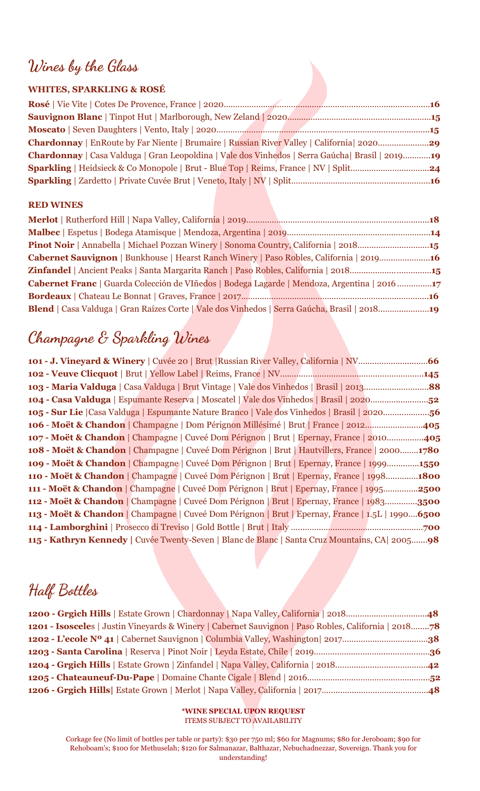## **Wines by the Glass**

### **WHITES, SPARKLING & ROSÉ**

| Chardonnay   EnRoute by Far Niente   Brumaire   Russian River Valley   California   202029       |
|--------------------------------------------------------------------------------------------------|
| Chardonnay   Casa Valduga   Gran Leopoldina   Vale dos Vinhedos   Serra Gaúcha   Brasil   201919 |
|                                                                                                  |
|                                                                                                  |
|                                                                                                  |

### **RED WINES**

| Pinot Noir   Annabella   Michael Pozzan Winery   Sonoma Country, California   201815           |
|------------------------------------------------------------------------------------------------|
| <b>Cabernet Sauvignon</b>   Bunkhouse   Hearst Ranch Winery   Paso Robles, California   201916 |
| Zinfandel   Ancient Peaks   Santa Margarita Ranch   Paso Robles, California   201815           |
| Cabernet Franc   Guarda Colección de VIñedos   Bodega Lagarde   Mendoza, Argentina   2016 17   |
|                                                                                                |
| Blend   Casa Valduga   Gran Raízes Corte   Vale dos Vinhedos   Serra Gaúcha, Brasil   201819   |

# **Champagne & Sparkling Wines**

| 104 - Casa Valduga   Espumante Reserva   Moscatel   Vale dos Vinhedos   Brasil   202052          |  |  |  |
|--------------------------------------------------------------------------------------------------|--|--|--|
| 105 - Sur Lie   Casa Valduga   Espumante Nature Branco   Vale dos Vinhedos   Brasil   202056     |  |  |  |
| 106 - Moët & Chandon   Champagne   Dom Pérignon Millésimé   Brut   France   2012405              |  |  |  |
| 107 - Moët & Chandon   Champagne   Cuveé Dom Pérignon   Brut   Epernay, France   2010405         |  |  |  |
| 108 - Moët & Chandon   Champagne   Cuveé Dom Pérignon   Brut   Hautvillers, France   20001780    |  |  |  |
| 109 - Moët & Chandon   Champagne   Cuveé Dom Pérignon   Brut   Epernay, France   19991550        |  |  |  |
| 110 - Moët & Chandon   Champagne   Cuveé Dom Pérignon   Brut   Epernay, France   19981800        |  |  |  |
| 111 - Moët & Chandon   Champagne   Cuveé Dom Pérignon   Brut   Epernay, France   19952500        |  |  |  |
| 112 - Moët & Chandon   Champagne   Cuveé Dom Pérignon   Brut   Epernay, France   19833500        |  |  |  |
| 113 - Moët & Chandon   Champagne   Cuveé Dom Pérignon   Brut   Epernay, France   1.5L   19906500 |  |  |  |
|                                                                                                  |  |  |  |
| 115 - Kathryn Kennedy   Cuvée Twenty-Seven   Blanc de Blanc   Santa Cruz Mountains, CA   200598  |  |  |  |

## **Half Bottles**

| 1201 - Isosceles   Justin Vineyards & Winery   Cabernet Sauvignon   Paso Robles, California   201878 |  |
|------------------------------------------------------------------------------------------------------|--|
|                                                                                                      |  |
|                                                                                                      |  |
|                                                                                                      |  |
|                                                                                                      |  |
|                                                                                                      |  |

**\*WINE SPECIAL UPON REQUEST** ITEMS SUBJECT TO AVAILABILITY

Corkage fee (No limit of bottles per table or party): \$30 per 750 ml; \$60 for Magnums; \$80 for Jeroboam; \$90 for Rehoboam's; \$100 for Methuselah; \$120 for Salmanazar, Balthazar, [Nebuchadnezzar](https://justwineapp.com/article/nebuchadnezzar), Sovereign. Thank you for understanding!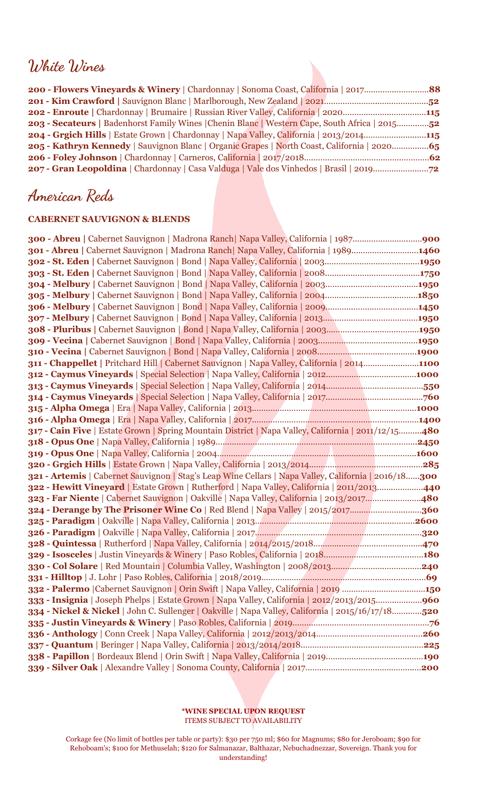### **White Wines**

| 202 - Enroute   Chardonnay   Brumaire   Russian River Valley, California   2020115                 |
|----------------------------------------------------------------------------------------------------|
| 203 - Secateurs   Badenhorst Family Wines   Chenin Blanc   Western Cape, South Africa   201552     |
| <b>204 - Grgich Hills</b>   Estate Grown   Chardonnay   Napa Valley, California   2013/2014115     |
| <b>205 - Kathryn Kennedy</b>   Sauvignon Blanc   Organic Grapes   North Coast, California   202065 |
|                                                                                                    |
| 207 - Gran Leopoldina   Chardonnay   Casa Valduga   Vale dos Vinhedos   Brasil   201972            |
|                                                                                                    |

## **American Reds**

#### **CABERNET SAUVIGNON & BLENDS**

| 301 - Abreu   Cabernet Sauvignon   Madrona Ranch   Napa Valley, California   19891460                |
|------------------------------------------------------------------------------------------------------|
|                                                                                                      |
|                                                                                                      |
|                                                                                                      |
|                                                                                                      |
|                                                                                                      |
|                                                                                                      |
|                                                                                                      |
|                                                                                                      |
|                                                                                                      |
| 311 - Chappellet   Pritchard Hill   Cabernet Sauvignon   Napa Valley, California   20141100          |
|                                                                                                      |
|                                                                                                      |
|                                                                                                      |
|                                                                                                      |
|                                                                                                      |
| 317 - Cain Five   Estate Grown   Spring Mountain District   Napa Valley, California   2011/12/15480  |
|                                                                                                      |
|                                                                                                      |
|                                                                                                      |
| 321 - Artemis   Cabernet Sauvignon   Stag's Leap Wine Cellars   Napa Valley, California   2016/18300 |
| 322 - Hewitt Vineyard   Estate Grown   Rutherford   Napa Valley, California   2011/2013440           |
| 323 - Far Niente   Cabernet Sauvignon   Oakville   Napa Valley, California   2013/2017480            |
| 324 - Derange by The Prisoner Wine Co   Red Blend   Napa Valley   2015/2017360                       |
|                                                                                                      |
|                                                                                                      |
|                                                                                                      |
|                                                                                                      |
|                                                                                                      |
|                                                                                                      |
| 332 - Palermo   Cabernet Sauvignon   Orin Swift   Napa Valley, California   2019 150                 |
| 333 - Insignia   Joseph Phelps   Estate Grown   Napa Valley, California   2012/2013/2015960          |
| 334 - Nickel & Nickel   John C. Sullenger   Oakville   Napa Valley, California   2015/16/17/18520    |
|                                                                                                      |
|                                                                                                      |
|                                                                                                      |
|                                                                                                      |
|                                                                                                      |
|                                                                                                      |

**\*WINE SPECIAL UPON REQUEST** ITEMS SUBJECT TO AVAILABILITY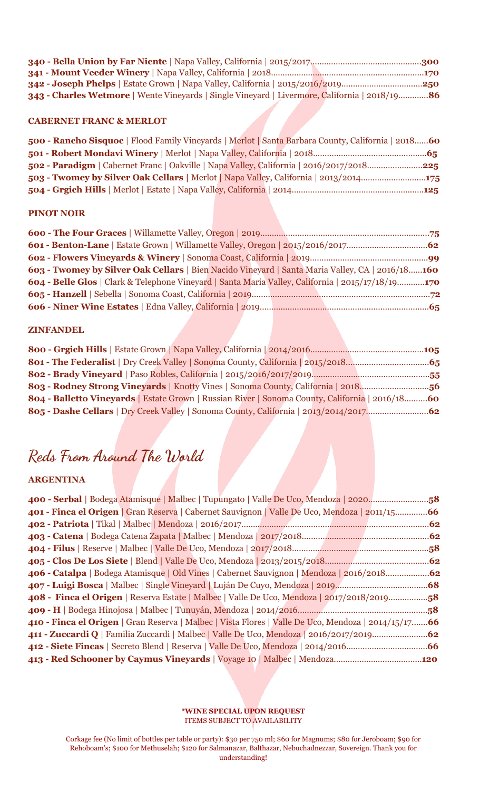| 342 - Joseph Phelps   Estate Grown   Napa Valley, California   2015/2016/2019250               |  |
|------------------------------------------------------------------------------------------------|--|
| 343 - Charles Wetmore   Wente Vineyards   Single Vineyard   Livermore, California   2018/19 86 |  |
| <b>CABERNET FRANC &amp; MERLOT</b>                                                             |  |

#### **CABERNET FRANC & MERLOT**

| 500 - Rancho Sisquoc   Flood Family Vineyards   Merlot   Santa Barbara County, California   2018 60 |  |  |
|-----------------------------------------------------------------------------------------------------|--|--|
|                                                                                                     |  |  |
| 502 - Paradigm   Cabernet Franc   Oakville   Napa Valley, California   2016/2017/2018225            |  |  |
| 503 - Twomey by Silver Oak Cellars   Merlot   Napa Valley, California   2013/2014175                |  |  |
|                                                                                                     |  |  |

#### **PINOT NOIR**

| 603 - Twomey by Silver Oak Cellars   Bien Nacido Vineyard   Santa Maria Valley, CA   2016/18160   |  |  |  |  |
|---------------------------------------------------------------------------------------------------|--|--|--|--|
| 604 - Belle Glos   Clark & Telephone Vineyard   Santa Maria Valley, California   2015/17/18/19170 |  |  |  |  |
|                                                                                                   |  |  |  |  |
|                                                                                                   |  |  |  |  |
|                                                                                                   |  |  |  |  |

#### **ZINFANDEL**

| 803 - Rodney Strong Vineyards   Knotty Vines   Sonoma County, California   201856               |  |  |
|-------------------------------------------------------------------------------------------------|--|--|
| 804 - Balletto Vineyards   Estate Grown   Russian River   Sonoma County, California   2016/1860 |  |  |
|                                                                                                 |  |  |

# **Reds From Around The World**

### **ARGENTINA**

| 400 - Serbal   Bodega Atamisque   Malbec   Tupungato   Valle De Uco, Mendoza   202058               |  |
|-----------------------------------------------------------------------------------------------------|--|
| 401 - Finca el Origen   Gran Reserva   Cabernet Sauvignon   Valle De Uco, Mendoza   2011/1566       |  |
|                                                                                                     |  |
|                                                                                                     |  |
|                                                                                                     |  |
|                                                                                                     |  |
| 406 - Catalpa   Bodega Atamisque   Old Vines   Cabernet Sauvignon   Mendoza   2016/201862           |  |
|                                                                                                     |  |
| 408 - Finca el Origen   Reserva Estate   Malbec   Valle De Uco, Mendoza   2017/2018/201958          |  |
|                                                                                                     |  |
| 410 - Finca el Origen   Gran Reserva   Malbec   Vista Flores   Valle De Uco, Mendoza   2014/15/1766 |  |
|                                                                                                     |  |
|                                                                                                     |  |
| 413 - Red Schooner by Caymus Vineyards   Voyage 10   Malbec   Mendoza120                            |  |

#### **\*WINE SPECIAL UPON REQUEST** ITEMS SUBJECT TO AVAILABILITY

Corkage fee (No limit of bottles per table or party): \$30 per 750 ml; \$60 for Magnums; \$80 for Jeroboam; \$90 for Rehoboam's; \$100 for Methuselah; \$120 for Salmanazar, Balthazar, [Nebuchadnezzar](https://justwineapp.com/article/nebuchadnezzar), Sovereign. Thank you for understanding!